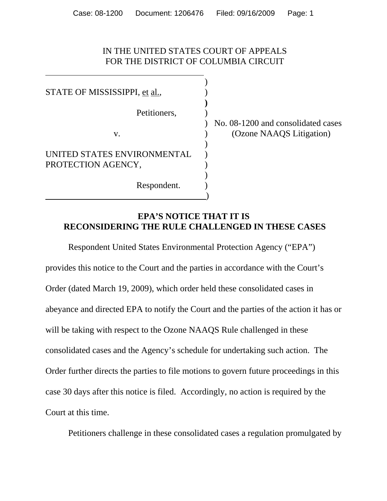## IN THE UNITED STATES COURT OF APPEALS FOR THE DISTRICT OF COLUMBIA CIRCUIT

)

**)**

)

)

STATE OF MISSISSIPPI, <u>et al.</u>,  $\qquad \qquad$ Petitioners, UNITED STATES ENVIRONMENTAL PROTECTION AGENCY, Respondent. )

) No. 08-1200 and consolidated cases v. (Ozone NAAQS Litigation)

## **EPA'S NOTICE THAT IT IS RECONSIDERING THE RULE CHALLENGED IN THESE CASES**

Respondent United States Environmental Protection Agency ("EPA") provides this notice to the Court and the parties in accordance with the Court's Order (dated March 19, 2009), which order held these consolidated cases in abeyance and directed EPA to notify the Court and the parties of the action it has or will be taking with respect to the Ozone NAAQS Rule challenged in these consolidated cases and the Agency's schedule for undertaking such action. The Order further directs the parties to file motions to govern future proceedings in this case 30 days after this notice is filed. Accordingly, no action is required by the Court at this time.

Petitioners challenge in these consolidated cases a regulation promulgated by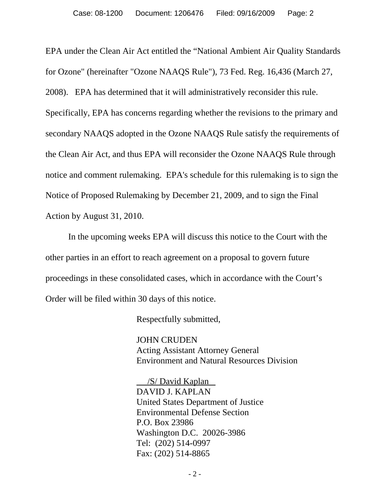EPA under the Clean Air Act entitled the "National Ambient Air Quality Standards for Ozone" (hereinafter "Ozone NAAQS Rule"), 73 Fed. Reg. 16,436 (March 27, 2008). EPA has determined that it will administratively reconsider this rule. Specifically, EPA has concerns regarding whether the revisions to the primary and secondary NAAQS adopted in the Ozone NAAQS Rule satisfy the requirements of the Clean Air Act, and thus EPA will reconsider the Ozone NAAQS Rule through notice and comment rulemaking. EPA's schedule for this rulemaking is to sign the Notice of Proposed Rulemaking by December 21, 2009, and to sign the Final Action by August 31, 2010.

In the upcoming weeks EPA will discuss this notice to the Court with the other parties in an effort to reach agreement on a proposal to govern future proceedings in these consolidated cases, which in accordance with the Court's Order will be filed within 30 days of this notice.

Respectfully submitted,

JOHN CRUDEN Acting Assistant Attorney General Environment and Natural Resources Division

 /S/ David Kaplan DAVID J. KAPLAN United States Department of Justice Environmental Defense Section P.O. Box 23986 Washington D.C. 20026-3986 Tel: (202) 514-0997 Fax: (202) 514-8865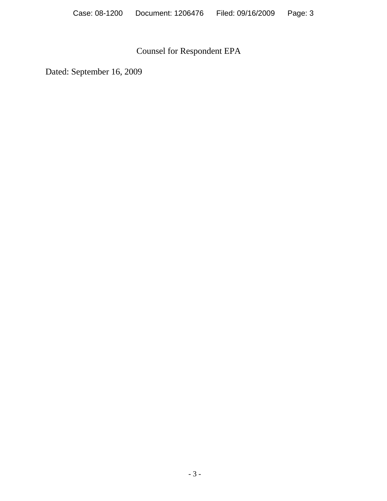## Counsel for Respondent EPA

Dated: September 16, 2009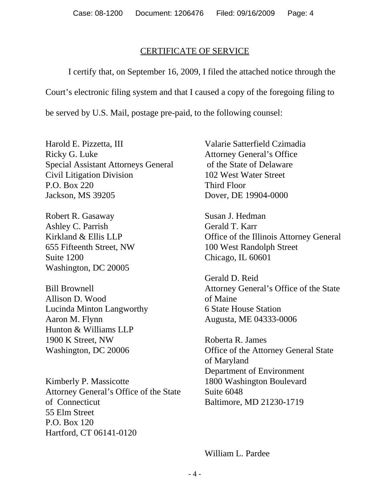## CERTIFICATE OF SERVICE

I certify that, on September 16, 2009, I filed the attached notice through the

Court's electronic filing system and that I caused a copy of the foregoing filing to

be served by U.S. Mail, postage pre-paid, to the following counsel:

Harold E. Pizzetta, III Ricky G. Luke Special Assistant Attorneys General Civil Litigation Division P.O. Box 220 Jackson, MS 39205

Robert R. Gasaway Ashley C. Parrish Kirkland & Ellis LLP 655 Fifteenth Street, NW Suite 1200 Washington, DC 20005

Bill Brownell Allison D. Wood Lucinda Minton Langworthy Aaron M. Flynn Hunton & Williams LLP 1900 K Street, NW Washington, DC 20006

Kimberly P. Massicotte Attorney General's Office of the State of Connecticut 55 Elm Street P.O. Box 120 Hartford, CT 06141-0120

Valarie Satterfield Czimadia Attorney General's Office of the State of Delaware 102 West Water Street Third Floor Dover, DE 19904-0000

Susan J. Hedman Gerald T. Karr Office of the Illinois Attorney General 100 West Randolph Street Chicago, IL 60601

Gerald D. Reid Attorney General's Office of the State of Maine 6 State House Station Augusta, ME 04333-0006

Roberta R. James Office of the Attorney General State of Maryland Department of Environment 1800 Washington Boulevard Suite 6048 Baltimore, MD 21230-1719

William L. Pardee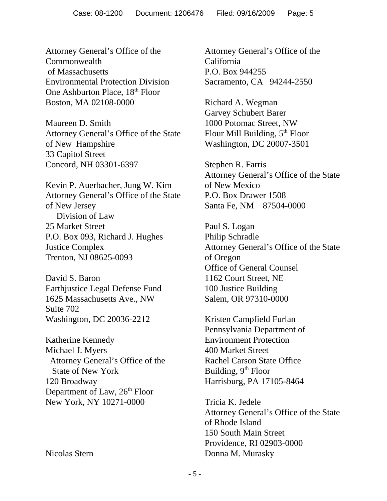Attorney General's Office of the Commonwealth of Massachusetts Environmental Protection Division One Ashburton Place, 18<sup>th</sup> Floor Boston, MA 02108-0000

Maureen D. Smith Attorney General's Office of the State of New Hampshire 33 Capitol Street Concord, NH 03301-6397

Kevin P. Auerbacher, Jung W. Kim Attorney General's Office of the State of New Jersey Division of Law 25 Market Street P.O. Box 093, Richard J. Hughes Justice Complex Trenton, NJ 08625-0093

David S. Baron Earthjustice Legal Defense Fund 1625 Massachusetts Ave., NW Suite 702 Washington, DC 20036-2212

Katherine Kennedy Michael J. Myers Attorney General's Office of the State of New York 120 Broadway Department of Law,  $26<sup>th</sup>$  Floor New York, NY 10271-0000

Nicolas Stern

Attorney General's Office of the California P.O. Box 944255 Sacramento, CA 94244-2550

Richard A. Wegman Garvey Schubert Barer 1000 Potomac Street, NW Flour Mill Building,  $5<sup>th</sup>$  Floor Washington, DC 20007-3501

Stephen R. Farris Attorney General's Office of the State of New Mexico P.O. Box Drawer 1508 Santa Fe, NM 87504-0000

Paul S. Logan Philip Schradle Attorney General's Office of the State of Oregon Office of General Counsel 1162 Court Street, NE 100 Justice Building Salem, OR 97310-0000

Kristen Campfield Furlan Pennsylvania Department of Environment Protection 400 Market Street Rachel Carson State Office Building,  $9<sup>th</sup>$  Floor Harrisburg, PA 17105-8464

Tricia K. Jedele Attorney General's Office of the State of Rhode Island 150 South Main Street Providence, RI 02903-0000 Donna M. Murasky